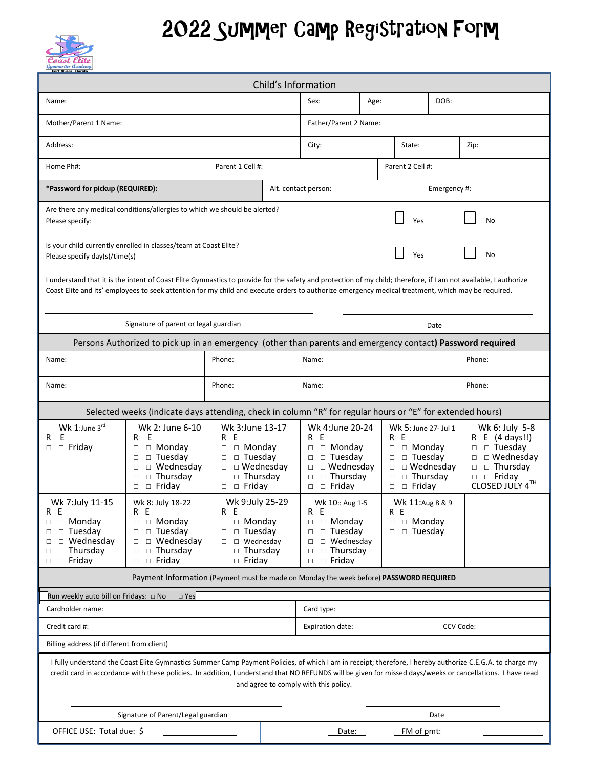## Coast

## 2022 Summer Camp Registration Form

| Fort Mvers, Florid:                                                                                                                                                                                                                                                                                                                                                                                            |                                                                                                                                                                        |                                                                                                                                                                 |       |                                                                                                                                                                     |      |                                                                                                                                 |                                |                                                                                                                                                                                                                                       |
|----------------------------------------------------------------------------------------------------------------------------------------------------------------------------------------------------------------------------------------------------------------------------------------------------------------------------------------------------------------------------------------------------------------|------------------------------------------------------------------------------------------------------------------------------------------------------------------------|-----------------------------------------------------------------------------------------------------------------------------------------------------------------|-------|---------------------------------------------------------------------------------------------------------------------------------------------------------------------|------|---------------------------------------------------------------------------------------------------------------------------------|--------------------------------|---------------------------------------------------------------------------------------------------------------------------------------------------------------------------------------------------------------------------------------|
| Child's Information                                                                                                                                                                                                                                                                                                                                                                                            |                                                                                                                                                                        |                                                                                                                                                                 |       |                                                                                                                                                                     |      |                                                                                                                                 |                                |                                                                                                                                                                                                                                       |
| Name:                                                                                                                                                                                                                                                                                                                                                                                                          |                                                                                                                                                                        |                                                                                                                                                                 |       | Sex:                                                                                                                                                                | Age: |                                                                                                                                 | DOB:                           |                                                                                                                                                                                                                                       |
| Mother/Parent 1 Name:                                                                                                                                                                                                                                                                                                                                                                                          |                                                                                                                                                                        |                                                                                                                                                                 |       | Father/Parent 2 Name:                                                                                                                                               |      |                                                                                                                                 |                                |                                                                                                                                                                                                                                       |
| Address:                                                                                                                                                                                                                                                                                                                                                                                                       |                                                                                                                                                                        |                                                                                                                                                                 |       | City:<br>State:                                                                                                                                                     |      |                                                                                                                                 |                                | Zip:                                                                                                                                                                                                                                  |
| Parent 1 Cell #:<br>Home Ph#:                                                                                                                                                                                                                                                                                                                                                                                  |                                                                                                                                                                        |                                                                                                                                                                 |       | Parent 2 Cell #:                                                                                                                                                    |      |                                                                                                                                 |                                |                                                                                                                                                                                                                                       |
| *Password for pickup (REQUIRED):                                                                                                                                                                                                                                                                                                                                                                               |                                                                                                                                                                        |                                                                                                                                                                 |       | Emergency #:<br>Alt. contact person:                                                                                                                                |      |                                                                                                                                 |                                |                                                                                                                                                                                                                                       |
| Are there any medical conditions/allergies to which we should be alerted?<br>Yes<br>No<br>Please specify:                                                                                                                                                                                                                                                                                                      |                                                                                                                                                                        |                                                                                                                                                                 |       |                                                                                                                                                                     |      |                                                                                                                                 |                                |                                                                                                                                                                                                                                       |
| Is your child currently enrolled in classes/team at Coast Elite?<br>Please specify day(s)/time(s)                                                                                                                                                                                                                                                                                                              | No<br>Yes                                                                                                                                                              |                                                                                                                                                                 |       |                                                                                                                                                                     |      |                                                                                                                                 |                                |                                                                                                                                                                                                                                       |
| I understand that it is the intent of Coast Elite Gymnastics to provide for the safety and protection of my child; therefore, if I am not available, I authorize<br>Coast Elite and its' employees to seek attention for my child and execute orders to authorize emergency medical treatment, which may be required.                                                                                          |                                                                                                                                                                        |                                                                                                                                                                 |       |                                                                                                                                                                     |      |                                                                                                                                 |                                |                                                                                                                                                                                                                                       |
| Signature of parent or legal guardian<br>Date                                                                                                                                                                                                                                                                                                                                                                  |                                                                                                                                                                        |                                                                                                                                                                 |       |                                                                                                                                                                     |      |                                                                                                                                 |                                |                                                                                                                                                                                                                                       |
| Persons Authorized to pick up in an emergency (other than parents and emergency contact) Password required                                                                                                                                                                                                                                                                                                     |                                                                                                                                                                        |                                                                                                                                                                 |       |                                                                                                                                                                     |      |                                                                                                                                 |                                |                                                                                                                                                                                                                                       |
| Name:                                                                                                                                                                                                                                                                                                                                                                                                          | Phone:                                                                                                                                                                 |                                                                                                                                                                 | Name: |                                                                                                                                                                     |      | Phone:                                                                                                                          |                                |                                                                                                                                                                                                                                       |
| Name:                                                                                                                                                                                                                                                                                                                                                                                                          | Phone:                                                                                                                                                                 |                                                                                                                                                                 | Name: |                                                                                                                                                                     |      |                                                                                                                                 | Phone:                         |                                                                                                                                                                                                                                       |
| Selected weeks (indicate davs attending, check in column "R" for regular hours or "E" for extended hours)                                                                                                                                                                                                                                                                                                      |                                                                                                                                                                        |                                                                                                                                                                 |       |                                                                                                                                                                     |      |                                                                                                                                 |                                |                                                                                                                                                                                                                                       |
| Wk 1: June $3^{\text{rd}}$<br>E<br>R<br>$\Box$ Friday<br>$\Box$                                                                                                                                                                                                                                                                                                                                                | Wk 2: June 6-10<br>E<br>R<br>$\Box$ Monday<br>$\Box$<br>$\Box$ Tuesday<br>$\Box$<br>$\Box$ Wednesday<br>$\Box$<br>$\Box$ Thursday<br>$\Box$<br>$\Box$ Friday<br>$\Box$ | Wk 3:June 13-17<br>R E<br>$\square$ $\square$ Monday<br>$\Box$ $\Box$ Tuesday<br>$\Box$ Wednesday<br>$\square$ $\square$ Thursday<br>$\square$ $\square$ Friday |       | Wk 4:June 20-24<br>R E<br>$\Box$ Monday<br>$\Box$<br>$\Box$ Tuesday<br>$\Box$<br>$\Box$ Wednesday<br>$\Box$<br>$\Box$ Thursday<br>$\Box$<br>$\Box$ Friday<br>$\Box$ |      | Wk 5: June 27- Jul 1<br>R E<br>□ Monday<br>$\Box$<br>$\square$ $\square$ Tuesday<br>$\Box$<br>$\Box$<br>$\Box$ Friday<br>$\Box$ | □ Wednesday<br>$\Box$ Thursday | Wk 6: July 5-8<br>R E (4 days!!)<br>$\Box$ Tuesday<br>$\Box$<br>$\Box$ Wednesday<br>$\Box$<br>$\Box$ $\Box$ Thursday<br>$\begin{tabular}{ll} $\Box$ & $\Box$ & Friday\\ {\small{\textbf{CLOSED JULY 4}}^{\textbf{TH}}$ \end{tabular}$ |
| Wk 7: July 11-15<br>R E<br>$\Box$ Monday<br>$\Box$<br>$\Box$ Tuesday<br>$\Box$<br>$\Box$ Wednesday<br>□<br>$\Box$ Thursday<br>□<br>□ Fridav<br>$\Box$                                                                                                                                                                                                                                                          | Wk 8: July 18-22<br>R E<br>$\Box$ Monday<br>$\Box$ Tuesday<br>$\Box$<br>$\Box$ Wednesday<br>$\Box$ Thursday<br>$\Box$<br>$\Box$ $\Box$ Fridav                          | Wk 9:July 25-29<br>R E<br>$\Box$ Monday<br>$\square$ $\square$ Tuesday<br>$\square$ Wednesday<br>$\Box$ Thursday<br>$\Box$<br>$\square$ $\square$ Friday        |       | Wk 10:: Aug 1-5<br>R E<br>$\Box$ Monday<br>$\Box$<br>$\Box$ Tuesday<br>$\Box$<br>$\Box$ Wednesday<br>$\Box$<br>$\Box$ Thursday<br>$\Box$<br>$\Box$ $\Box$ Friday    |      | Wk 11: Aug 8 & 9<br>R E<br>$\square$ $\square$ Monday<br>$\Box$ Tuesday<br>$\Box$                                               |                                |                                                                                                                                                                                                                                       |
| Payment Information (Payment must be made on Monday the week before) PASSWORD REQUIRED                                                                                                                                                                                                                                                                                                                         |                                                                                                                                                                        |                                                                                                                                                                 |       |                                                                                                                                                                     |      |                                                                                                                                 |                                |                                                                                                                                                                                                                                       |
| Run weekly auto bill on Fridays: □ No<br>$\Box$ Yes                                                                                                                                                                                                                                                                                                                                                            |                                                                                                                                                                        |                                                                                                                                                                 |       |                                                                                                                                                                     |      |                                                                                                                                 |                                |                                                                                                                                                                                                                                       |
| Cardholder name:                                                                                                                                                                                                                                                                                                                                                                                               |                                                                                                                                                                        |                                                                                                                                                                 |       | Card type:                                                                                                                                                          |      |                                                                                                                                 |                                |                                                                                                                                                                                                                                       |
| Credit card #:                                                                                                                                                                                                                                                                                                                                                                                                 |                                                                                                                                                                        |                                                                                                                                                                 |       | CCV Code:<br>Expiration date:                                                                                                                                       |      |                                                                                                                                 |                                |                                                                                                                                                                                                                                       |
| Billing address (if different from client)<br>I fully understand the Coast Elite Gymnastics Summer Camp Payment Policies, of which I am in receipt; therefore, I hereby authorize C.E.G.A. to charge my<br>credit card in accordance with these policies. In addition, I understand that NO REFUNDS will be given for missed days/weeks or cancellations. I have read<br>and agree to comply with this policy. |                                                                                                                                                                        |                                                                                                                                                                 |       |                                                                                                                                                                     |      |                                                                                                                                 |                                |                                                                                                                                                                                                                                       |
| Signature of Parent/Legal guardian                                                                                                                                                                                                                                                                                                                                                                             |                                                                                                                                                                        |                                                                                                                                                                 |       | Date                                                                                                                                                                |      |                                                                                                                                 |                                |                                                                                                                                                                                                                                       |
| OFFICE USE: Total due: \$<br>Date:                                                                                                                                                                                                                                                                                                                                                                             |                                                                                                                                                                        |                                                                                                                                                                 |       |                                                                                                                                                                     |      |                                                                                                                                 | FM of pmt:                     |                                                                                                                                                                                                                                       |